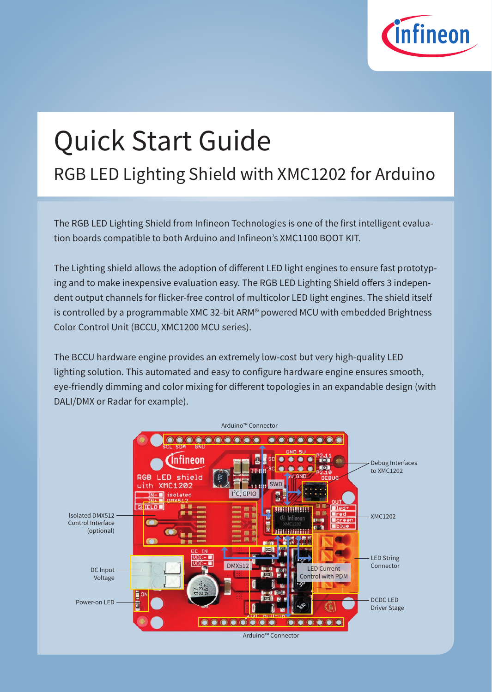

# Quick Start Guide

## RGB LED Lighting Shield with XMC1202 for Arduino

The RGB LED Lighting Shield from Infineon Technologies is one of the first intelligent evaluation boards compatible to both Arduino and Infineon's XMC1100 BOOT KIT.

The Lighting shield allows the adoption of different LED light engines to ensure fast prototyping and to make inexpensive evaluation easy. The RGB LED Lighting Shield offers 3 independent output channels for flicker-free control of multicolor LED light engines. The shield itself is controlled by a programmable XMC 32-bit ARM® powered MCU with embedded Brightness Color Control Unit (BCCU, XMC1200 MCU series).

The BCCU hardware engine provides an extremely low-cost but very high-quality LED lighting solution. This automated and easy to configure hardware engine ensures smooth, eye-friendly dimming and color mixing for different topologies in an expandable design (with DALI/DMX or Radar for example).

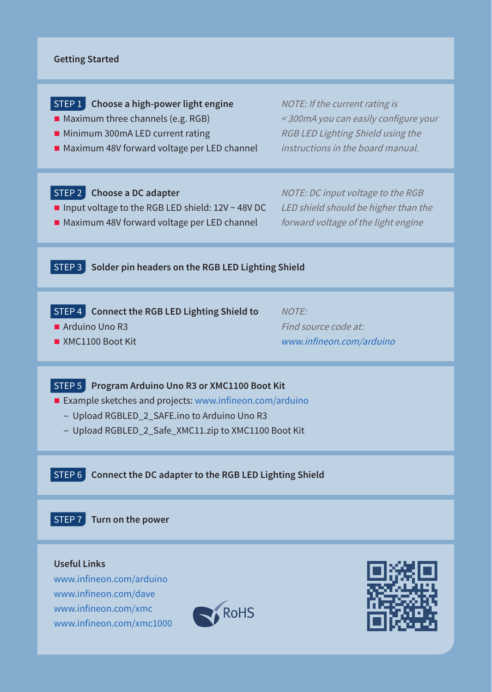#### **Getting Started**

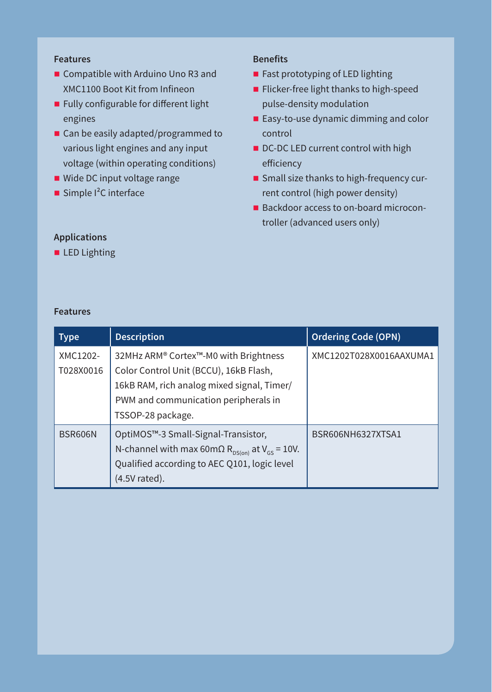### **Features**

- Compatible with Arduino Uno R3 and XMC1100 Boot Kit from Infineon
- **Fully configurable for different light** engines
- Can be easily adapted/programmed to various light engines and any input voltage (within operating conditions)
- Wide DC input voltage range
- $\blacksquare$  Simple I<sup>2</sup>C interface

#### **Benefits**

- **Fast prototyping of LED lighting**
- **Flicker-free light thanks to high-speed** pulse-density modulation
- Easy-to-use dynamic dimming and color control
- DC-DC LED current control with high efficiency
- Small size thanks to high-frequency current control (high power density)
- Backdoor access to on-board microcontroller (advanced users only)

**Applications LED Lighting** 

| <b>Type</b>           | <b>Description</b>                                                                                                                                                                         | <b>Ordering Code (OPN)</b> |
|-----------------------|--------------------------------------------------------------------------------------------------------------------------------------------------------------------------------------------|----------------------------|
| XMC1202-<br>T028X0016 | 32MHz ARM® Cortex™-M0 with Brightness<br>Color Control Unit (BCCU), 16kB Flash,<br>16kB RAM, rich analog mixed signal, Timer/<br>PWM and communication peripherals in<br>TSSOP-28 package. | XMC1202T028X0016AAXUMA1    |
| BSR606N               | OptiMOS™-3 Small-Signal-Transistor,<br>N-channel with max 60m $\Omega$ R <sub>ps(on)</sub> at V <sub>GS</sub> = 10V.<br>Qualified according to AEC Q101, logic level<br>(4.5V rated).      | BSR606NH6327XTSA1          |

#### **Features**